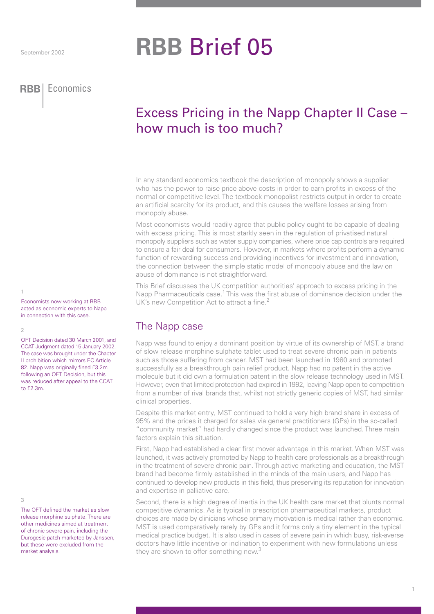# **RBB** Brief 05

### **RBB** Economics **RBB** Economics

## Excess Pricing in the Napp Chapter II Case – how much is too much?

In any standard economics textbook the description of monopoly shows a supplier who has the power to raise price above costs in order to earn profits in excess of the normal or competitive level. The textbook monopolist restricts output in order to create an artificial scarcity for its product, and this causes the welfare losses arising from monopoly abuse.

Most economists would readily agree that public policy ought to be capable of dealing with excess pricing. This is most starkly seen in the regulation of privatised natural monopoly suppliers such as water supply companies, where price cap controls are required to ensure a fair deal for consumers. However, in markets where profits perform a dynamic function of rewarding success and providing incentives for investment and innovation, the connection between the simple static model of monopoly abuse and the law on abuse of dominance is not straightforward.

This Brief discusses the UK competition authorities' approach to excess pricing in the Napp Pharmaceuticals case.<sup>1</sup> This was the first abuse of dominance decision under the UK's new Competition Act to attract a fine.

## The Napp case

Napp was found to enjoy a dominant position by virtue of its ownership of MST, a brand of slow release morphine sulphate tablet used to treat severe chronic pain in patients such as those suffering from cancer. MST had been launched in 1980 and promoted successfully as a breakthrough pain relief product. Napp had no patent in the active molecule but it did own a formulation patent in the slow release technology used in MST. However, even that limited protection had expired in 1992, leaving Napp open to competition from a number of rival brands that, whilst not strictly generic copies of MST, had similar clinical properties.

Despite this market entry, MST continued to hold a very high brand share in excess of 95% and the prices it charged for sales via general practitioners (GPs) in the so-called "community market" had hardly changed since the product was launched. Three main factors explain this situation.

First, Napp had established a clear first mover advantage in this market. When MST was launched, it was actively promoted by Napp to health care professionals as a breakthrough in the treatment of severe chronic pain. Through active marketing and education, the MST brand had become firmly established in the minds of the main users, and Napp has continued to develop new products in this field, thus preserving its reputation for innovation and expertise in palliative care.

Second, there is a high degree of inertia in the UK health care market that blunts normal competitive dynamics. As is typical in prescription pharmaceutical markets, product choices are made by clinicians whose primary motivation is medical rather than economic. MST is used comparatively rarely by GPs and it forms only a tiny element in the typical medical practice budget. It is also used in cases of severe pain in which busy, risk-averse doctors have little incentive or inclination to experiment with new formulations unless they are shown to offer something new.<sup>3</sup>

#### 1

Economists now working at RBB acted as economic experts to Napp in connection with this case.

#### $\overline{2}$

OFT Decision dated 30 March 2001, and CCAT Judgment dated 15 January 2002. The case was brought under the Chapter II prohibition which mirrors EC Article 82. Napp was originally fined £3.2m following an OFT Decision, but this was reduced after appeal to the CCAT to £2.3m.

#### 3

The OFT defined the market as slow release morphine sulphate. There are other medicines aimed at treatment of chronic severe pain, including the Durogesic patch marketed by Janssen, but these were excluded from the market analysis.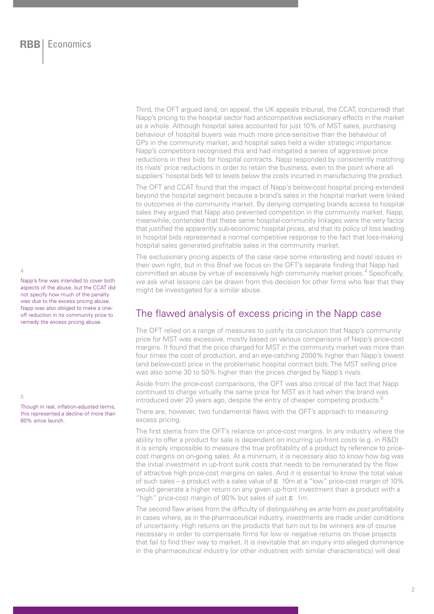Third, the OFT argued (and, on appeal, the UK appeals tribunal, the CCAT, concurred) that Napp's pricing to the hospital sector had anticompetitive exclusionary effects in the market as a whole. Although hospital sales accounted for just 10% of MST sales, purchasing behaviour of hospital buyers was much more price-sensitive than the behaviour of GPs in the community market, and hospital sales held a wider strategic importance. Napp's competitors recognised this and had instigated a series of aggressive price reductions in their bids for hospital contracts. Napp responded by consistently matching its rivals' price reductions in order to retain the business, even to the point where all suppliers' hospital bids fell to levels below the costs incurred in manufacturing the product.

The OFT and CCAT found that the impact of Napp's below-cost hospital pricing extended beyond the hospital segment because a brand's sales in the hospital market were linked to outcomes in the community market. By denying competing brands access to hospital sales they argued that Napp also prevented competition in the community market. Napp, meanwhile, contended that these same hospital-community linkages were the very factor that justified the apparently sub-economic hospital prices, and that its policy of loss leading in hospital bids represented a normal competitive response to the fact that loss-making hospital sales generated profitable sales in the community market.

The exclusionary pricing aspects of the case raise some interesting and novel issues in their own right, but in this Brief we focus on the OFT's separate finding that Napp had committed an abuse by virtue of excessively high community market prices.<sup>4</sup> Specifically, we ask what lessons can be drawn from this decision for other firms who fear that they might be investigated for a similar abuse.

## The flawed analysis of excess pricing in the Napp case

The OFT relied on a range of measures to justify its conclusion that Napp's community price for MST was excessive, mostly based on various comparisons of Napp's price-cost margins. It found that the price charged for MST in the community market was more than four times the cost of production, and an eye-catching 2000% higher than Napp's lowest (and below-cost) price in the problematic hospital contract bids. The MST selling price was also some 30 to 50% higher than the prices charged by Napp's rivals.

Aside from the price-cost comparisons, the OFT was also critical of the fact that Napp continued to charge virtually the same price for MST as it had when the brand was introduced over 20 years ago, despite the entry of cheaper competing products.<sup>5</sup>

There are, however, two fundamental flaws with the OFT's approach to measuring excess pricing.

The first stems from the OFT's reliance on price-cost margins. In any industry where the ability to offer a product for sale is dependent on incurring up-front costs (e.g. in R&D) it is simply impossible to measure the true profitability of a product by reference to pricecost margins on on-going sales. At a minimum, it is necessary also to know how big was the initial investment in up-front sunk costs that needs to be remunerated by the flow of attractive high price-cost margins on sales. And it is essential to know the total value of such sales – a product with a sales value of  $E$  10m at a "low" price-cost margin of 10% would generate a higher return on any given up-front investment than a product with a "high" price-cost margin of 90% but sales of just E 1m.

The second flaw arises from the difficulty of distinguishing ex ante from ex post profitability in cases where, as in the pharmaceutical industry, investments are made under conditions of uncertainty. High returns on the products that turn out to be winners are of course necessary in order to compensate firms for low or negative returns on those projects that fail to find their way to market. It is inevitable that an inquiry into alleged dominance in the pharmaceutical industry (or other industries with similar characteristics) will deal

 $\overline{A}$ 

5

Napp's fine was intended to cover both aspects of the abuse, but the CCAT did not specify how much of the penalty was due to the excess pricing abuse. Napp was also obliged to make a oneoff reduction in its community price to remedy the excess pricing abuse.

Though in real, inflation-adjusted terms, this represented a decline of more than 60% since launch.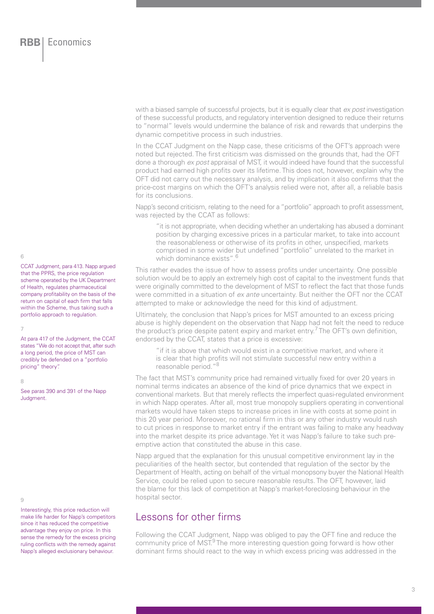with a biased sample of successful projects, but it is equally clear that ex post investigation of these successful products, and regulatory intervention designed to reduce their returns to "normal" levels would undermine the balance of risk and rewards that underpins the dynamic competitive process in such industries.

In the CCAT Judgment on the Napp case, these criticisms of the OFT's approach were noted but rejected. The first criticism was dismissed on the grounds that, had the OFT done a thorough ex post appraisal of MST, it would indeed have found that the successful product had earned high profits over its lifetime. This does not, however, explain why the OFT did not carry out the necessary analysis, and by implication it also confirms that the price-cost margins on which the OFT's analysis relied were not, after all, a reliable basis for its conclusions.

Napp's second criticism, relating to the need for a "portfolio" approach to profit assessment, was rejected by the CCAT as follows:

"it is not appropriate, when deciding whether an undertaking has abused a dominant position by charging excessive prices in a particular market, to take into account the reasonableness or otherwise of its profits in other, unspecified, markets comprised in some wider but undefined "portfolio" unrelated to the market in which dominance exists". 6

This rather evades the issue of how to assess profits under uncertainty. One possible solution would be to apply an extremely high cost of capital to the investment funds that were originally committed to the development of MST to reflect the fact that those funds were committed in a situation of ex ante uncertainty. But neither the OFT nor the CCAT attempted to make or acknowledge the need for this kind of adjustment.

Ultimately, the conclusion that Napp's prices for MST amounted to an excess pricing abuse is highly dependent on the observation that Napp had not felt the need to reduce the product's price despite patent expiry and market entry.<sup>7</sup> The OFT's own definition, endorsed by the CCAT, states that a price is excessive:

"if it is above that which would exist in a competitive market, and where it is clear that high profits will not stimulate successful new entry within a reasonable period."8

The fact that MST's community price had remained virtually fixed for over 20 years in nominal terms indicates an absence of the kind of price dynamics that we expect in conventional markets. But that merely reflects the imperfect quasi-regulated environment in which Napp operates. After all, most true monopoly suppliers operating in conventional markets would have taken steps to increase prices in line with costs at some point in this 20 year period. Moreover, no rational firm in this or any other industry would rush to cut prices in response to market entry if the entrant was failing to make any headway into the market despite its price advantage. Yet it was Napp's failure to take such preemptive action that constituted the abuse in this case.

Napp argued that the explanation for this unusual competitive environment lay in the peculiarities of the health sector, but contended that regulation of the sector by the Department of Health, acting on behalf of the virtual monopsony buyer the National Health Service, could be relied upon to secure reasonable results. The OFT, however, laid the blame for this lack of competition at Napp's market-foreclosing behaviour in the hospital sector.

## Lessons for other firms

Following the CCAT Judgment, Napp was obliged to pay the OFT fine and reduce the community price of MST.<sup>9</sup> The more interesting question going forward is how other dominant firms should react to the way in which excess pricing was addressed in the

6

CCAT Judgment, para 413. Napp argued that the PPRS, the price regulation scheme operated by the UK Department of Health, regulates pharmaceutical company profitability on the basis of the return on capital of each firm that falls within the Scheme, thus taking such a portfolio approach to regulation.

7

At para 417 of the Judgment, the CCAT states "We do not accept that, after such a long period, the price of MST can credibly be defended on a "portfolio pricing" theory".

#### 8

See paras 390 and 391 of the Napp Judgment.

9

Interestingly, this price reduction will make life harder for Napp's competitors since it has reduced the competitive advantage they enjoy on price. In this sense the remedy for the excess pricing ruling conflicts with the remedy against Napp's alleged exclusionary behaviour.